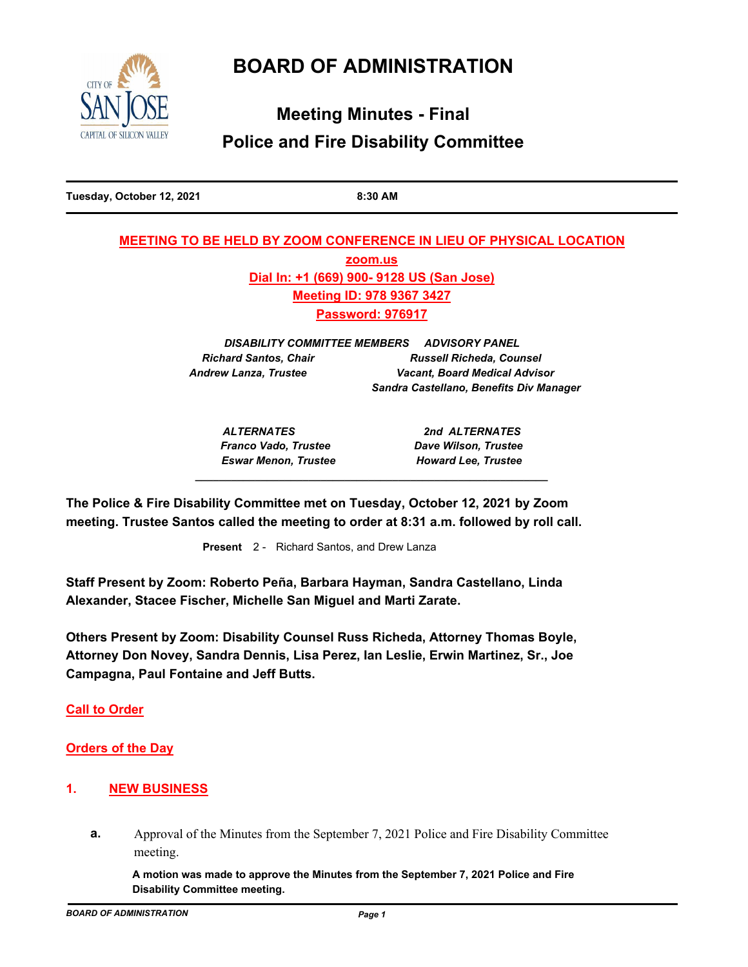# **BOARD OF ADMINISTRATION**



# **Meeting Minutes - Final Police and Fire Disability Committee**

**Tuesday, October 12, 2021 8:30 AM**

# **MEETING TO BE HELD BY ZOOM CONFERENCE IN LIEU OF PHYSICAL LOCATION zoom.us Dial In: +1 (669) 900- 9128 US (San Jose) Meeting ID: 978 9367 3427 Password: 976917**

*DISABILITY COMMITTEE MEMBERS ADVISORY PANEL* **Richard Santos, Chair Chair Russell Richeda, Counsel** *Andrew Lanza, Trustee Vacant, Board Medical Advisor Sandra Castellano, Benefits Div Manager*

*\_\_\_\_\_\_\_\_\_\_\_\_\_\_\_\_\_\_\_\_\_\_\_\_\_\_\_\_\_\_\_\_\_\_\_\_\_\_\_\_\_\_\_\_\_\_\_\_\_\_\_\_\_\_\_\_\_\_\_*

*ALTERNATES 2nd ALTERNATES Franco Vado, Trustee Dave Wilson, Trustee Eswar Menon, Trustee Howard Lee, Trustee*

**The Police & Fire Disability Committee met on Tuesday, October 12, 2021 by Zoom meeting. Trustee Santos called the meeting to order at 8:31 a.m. followed by roll call.**

**Present** 2 - Richard Santos, and Drew Lanza

**Staff Present by Zoom: Roberto Peña, Barbara Hayman, Sandra Castellano, Linda Alexander, Stacee Fischer, Michelle San Miguel and Marti Zarate.**

**Others Present by Zoom: Disability Counsel Russ Richeda, Attorney Thomas Boyle, Attorney Don Novey, Sandra Dennis, Lisa Perez, Ian Leslie, Erwin Martinez, Sr., Joe Campagna, Paul Fontaine and Jeff Butts.**

**Call to Order**

**Orders of the Day**

## **1. NEW BUSINESS**

**a.** Approval of the Minutes from the September 7, 2021 Police and Fire Disability Committee meeting.

**A motion was made to approve the Minutes from the September 7, 2021 Police and Fire Disability Committee meeting.**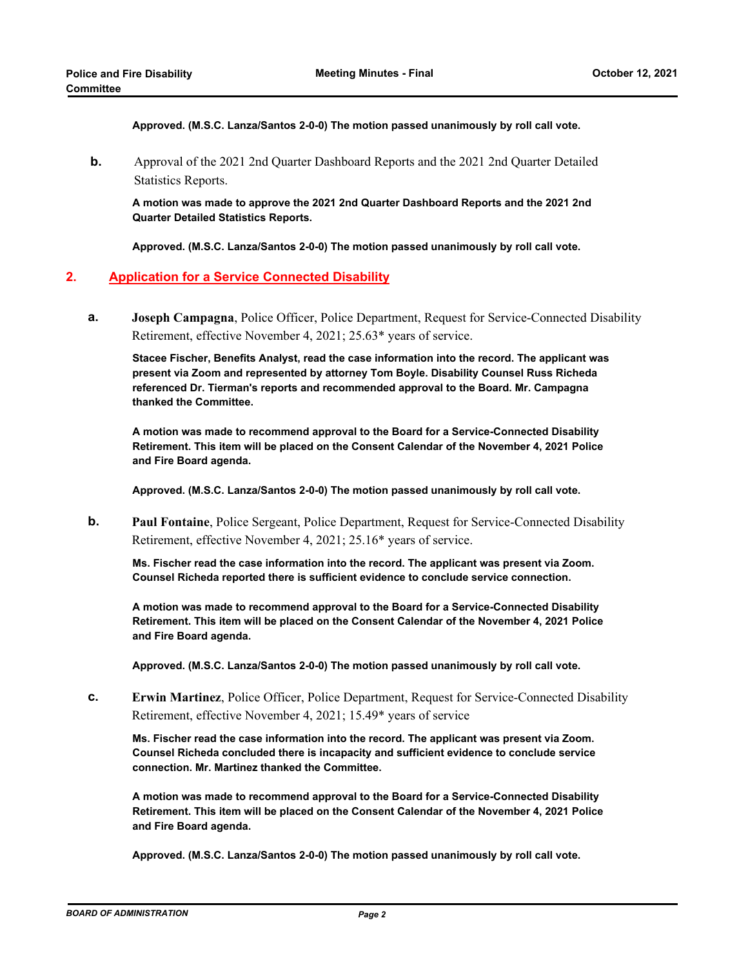**Approved. (M.S.C. Lanza/Santos 2-0-0) The motion passed unanimously by roll call vote.**

**b.** Approval of the 2021 2nd Quarter Dashboard Reports and the 2021 2nd Quarter Detailed Statistics Reports.

**A motion was made to approve the 2021 2nd Quarter Dashboard Reports and the 2021 2nd Quarter Detailed Statistics Reports.**

**Approved. (M.S.C. Lanza/Santos 2-0-0) The motion passed unanimously by roll call vote.**

### **2. Application for a Service Connected Disability**

**Joseph Campagna**, Police Officer, Police Department, Request for Service-Connected Disability Retirement, effective November 4, 2021; 25.63\* years of service. **a.**

**Stacee Fischer, Benefits Analyst, read the case information into the record. The applicant was present via Zoom and represented by attorney Tom Boyle. Disability Counsel Russ Richeda referenced Dr. Tierman's reports and recommended approval to the Board. Mr. Campagna thanked the Committee.**

**A motion was made to recommend approval to the Board for a Service-Connected Disability Retirement. This item will be placed on the Consent Calendar of the November 4, 2021 Police and Fire Board agenda.**

**Approved. (M.S.C. Lanza/Santos 2-0-0) The motion passed unanimously by roll call vote.**

**Paul Fontaine**, Police Sergeant, Police Department, Request for Service-Connected Disability Retirement, effective November 4, 2021; 25.16\* years of service. **b.**

**Ms. Fischer read the case information into the record. The applicant was present via Zoom. Counsel Richeda reported there is sufficient evidence to conclude service connection.**

**A motion was made to recommend approval to the Board for a Service-Connected Disability Retirement. This item will be placed on the Consent Calendar of the November 4, 2021 Police and Fire Board agenda.**

**Approved. (M.S.C. Lanza/Santos 2-0-0) The motion passed unanimously by roll call vote.**

**Erwin Martinez**, Police Officer, Police Department, Request for Service-Connected Disability Retirement, effective November 4, 2021; 15.49\* years of service **c.**

**Ms. Fischer read the case information into the record. The applicant was present via Zoom. Counsel Richeda concluded there is incapacity and sufficient evidence to conclude service connection. Mr. Martinez thanked the Committee.**

**A motion was made to recommend approval to the Board for a Service-Connected Disability Retirement. This item will be placed on the Consent Calendar of the November 4, 2021 Police and Fire Board agenda.**

**Approved. (M.S.C. Lanza/Santos 2-0-0) The motion passed unanimously by roll call vote.**